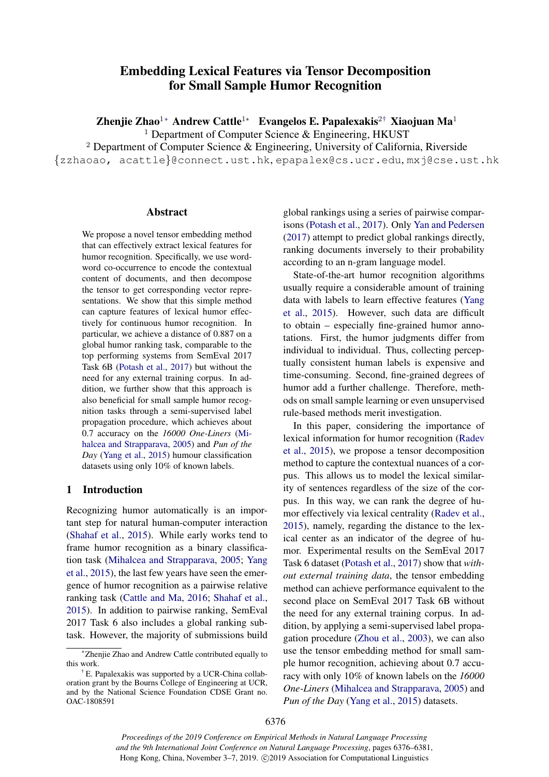# Embedding Lexical Features via Tensor Decomposition for Small Sample Humor Recognition

Zhenjie Zhao<sup>1</sup>∗ Andrew Cattle<sup>1</sup>∗ Evangelos E. Papalexakis<sup>2†</sup> Xiaojuan Ma<sup>1</sup>

<sup>1</sup> Department of Computer Science & Engineering, HKUST

<sup>2</sup> Department of Computer Science & Engineering, University of California, Riverside

{zzhaoao, acattle}@connect.ust.hk, epapalex@cs.ucr.edu, mxj@cse.ust.hk

#### Abstract

We propose a novel tensor embedding method that can effectively extract lexical features for humor recognition. Specifically, we use wordword co-occurrence to encode the contextual content of documents, and then decompose the tensor to get corresponding vector representations. We show that this simple method can capture features of lexical humor effectively for continuous humor recognition. In particular, we achieve a distance of 0.887 on a global humor ranking task, comparable to the top performing systems from SemEval 2017 Task 6B [\(Potash et al.,](#page-4-0) [2017\)](#page-4-0) but without the need for any external training corpus. In addition, we further show that this approach is also beneficial for small sample humor recognition tasks through a semi-supervised label propagation procedure, which achieves about 0.7 accuracy on the *16000 One-Liners* [\(Mi](#page-4-1)[halcea and Strapparava,](#page-4-1) [2005\)](#page-4-1) and *Pun of the Day* [\(Yang et al.,](#page-5-0) [2015\)](#page-5-0) humour classification datasets using only 10% of known labels.

# 1 Introduction

Recognizing humor automatically is an important step for natural human-computer interaction [\(Shahaf et al.,](#page-5-1) [2015\)](#page-5-1). While early works tend to frame humor recognition as a binary classification task [\(Mihalcea and Strapparava,](#page-4-1) [2005;](#page-4-1) [Yang](#page-5-0) [et al.,](#page-5-0) [2015\)](#page-5-0), the last few years have seen the emergence of humor recognition as a pairwise relative ranking task [\(Cattle and Ma,](#page-4-2) [2016;](#page-4-2) [Shahaf et al.,](#page-5-1) [2015\)](#page-5-1). In addition to pairwise ranking, SemEval 2017 Task 6 also includes a global ranking subtask. However, the majority of submissions build

global rankings using a series of pairwise comparisons [\(Potash et al.,](#page-4-0) [2017\)](#page-4-0). Only [Yan and Pedersen](#page-5-2) [\(2017\)](#page-5-2) attempt to predict global rankings directly, ranking documents inversely to their probability according to an n-gram language model.

State-of-the-art humor recognition algorithms usually require a considerable amount of training data with labels to learn effective features [\(Yang](#page-5-0) [et al.,](#page-5-0) [2015\)](#page-5-0). However, such data are difficult to obtain – especially fine-grained humor annotations. First, the humor judgments differ from individual to individual. Thus, collecting perceptually consistent human labels is expensive and time-consuming. Second, fine-grained degrees of humor add a further challenge. Therefore, methods on small sample learning or even unsupervised rule-based methods merit investigation.

In this paper, considering the importance of lexical information for humor recognition [\(Radev](#page-4-3) [et al.,](#page-4-3) [2015\)](#page-4-3), we propose a tensor decomposition method to capture the contextual nuances of a corpus. This allows us to model the lexical similarity of sentences regardless of the size of the corpus. In this way, we can rank the degree of humor effectively via lexical centrality [\(Radev et al.,](#page-4-3) [2015\)](#page-4-3), namely, regarding the distance to the lexical center as an indicator of the degree of humor. Experimental results on the SemEval 2017 Task 6 dataset [\(Potash et al.,](#page-4-0) [2017\)](#page-4-0) show that *without external training data*, the tensor embedding method can achieve performance equivalent to the second place on SemEval 2017 Task 6B without the need for any external training corpus. In addition, by applying a semi-supervised label propagation procedure [\(Zhou et al.,](#page-5-3) [2003\)](#page-5-3), we can also use the tensor embedding method for small sample humor recognition, achieving about 0.7 accuracy with only 10% of known labels on the *16000 One-Liners* [\(Mihalcea and Strapparava,](#page-4-1) [2005\)](#page-4-1) and *Pun of the Day* [\(Yang et al.,](#page-5-0) [2015\)](#page-5-0) datasets.

<sup>∗</sup>Zhenjie Zhao and Andrew Cattle contributed equally to this work.

<sup>†</sup> E. Papalexakis was supported by a UCR-China collaboration grant by the Bourns College of Engineering at UCR, and by the National Science Foundation CDSE Grant no. OAC-1808591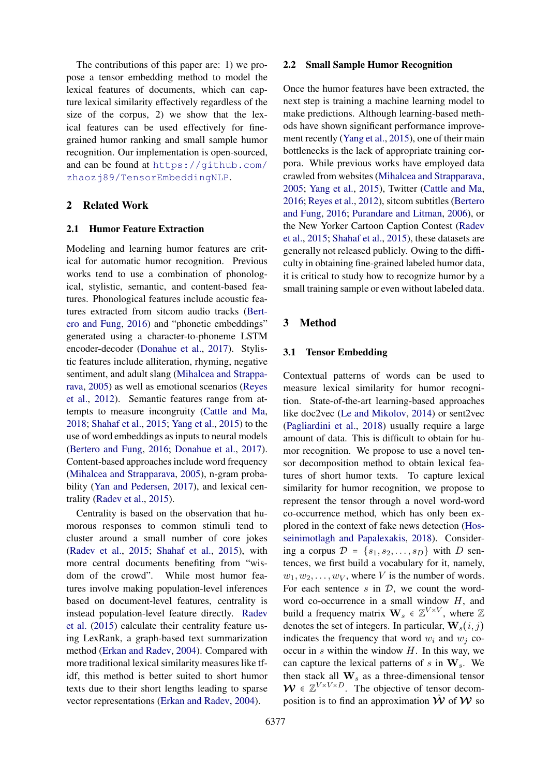The contributions of this paper are: 1) we propose a tensor embedding method to model the lexical features of documents, which can capture lexical similarity effectively regardless of the size of the corpus, 2) we show that the lexical features can be used effectively for finegrained humor ranking and small sample humor recognition. Our implementation is open-sourced, and can be found at [https://github.com/](https://github.com/zhaozj89/TensorEmbeddingNLP) [zhaozj89/TensorEmbeddingNLP](https://github.com/zhaozj89/TensorEmbeddingNLP).

# 2 Related Work

# 2.1 Humor Feature Extraction

Modeling and learning humor features are critical for automatic humor recognition. Previous works tend to use a combination of phonological, stylistic, semantic, and content-based features. Phonological features include acoustic features extracted from sitcom audio tracks [\(Bert](#page-4-4)[ero and Fung,](#page-4-4) [2016\)](#page-4-4) and "phonetic embeddings" generated using a character-to-phoneme LSTM encoder-decoder [\(Donahue et al.,](#page-4-5) [2017\)](#page-4-5). Stylistic features include alliteration, rhyming, negative sentiment, and adult slang [\(Mihalcea and Strappa](#page-4-1)[rava,](#page-4-1) [2005\)](#page-4-1) as well as emotional scenarios [\(Reyes](#page-4-6) [et al.,](#page-4-6) [2012\)](#page-4-6). Semantic features range from attempts to measure incongruity [\(Cattle and Ma,](#page-4-7) [2018;](#page-4-7) [Shahaf et al.,](#page-5-1) [2015;](#page-5-1) [Yang et al.,](#page-5-0) [2015\)](#page-5-0) to the use of word embeddings as inputs to neural models [\(Bertero and Fung,](#page-4-4) [2016;](#page-4-4) [Donahue et al.,](#page-4-5) [2017\)](#page-4-5). Content-based approaches include word frequency [\(Mihalcea and Strapparava,](#page-4-1) [2005\)](#page-4-1), n-gram probability [\(Yan and Pedersen,](#page-5-2) [2017\)](#page-5-2), and lexical centrality [\(Radev et al.,](#page-4-3) [2015\)](#page-4-3).

Centrality is based on the observation that humorous responses to common stimuli tend to cluster around a small number of core jokes [\(Radev et al.,](#page-4-3) [2015;](#page-4-3) [Shahaf et al.,](#page-5-1) [2015\)](#page-5-1), with more central documents benefiting from "wisdom of the crowd". While most humor features involve making population-level inferences based on document-level features, centrality is instead population-level feature directly. [Radev](#page-4-3) [et al.](#page-4-3) [\(2015\)](#page-4-3) calculate their centrality feature using LexRank, a graph-based text summarization method [\(Erkan and Radev,](#page-4-8) [2004\)](#page-4-8). Compared with more traditional lexical similarity measures like tfidf, this method is better suited to short humor texts due to their short lengths leading to sparse vector representations [\(Erkan and Radev,](#page-4-8) [2004\)](#page-4-8).

#### 2.2 Small Sample Humor Recognition

Once the humor features have been extracted, the next step is training a machine learning model to make predictions. Although learning-based methods have shown significant performance improvement recently [\(Yang et al.,](#page-5-0) [2015\)](#page-5-0), one of their main bottlenecks is the lack of appropriate training corpora. While previous works have employed data crawled from websites [\(Mihalcea and Strapparava,](#page-4-1) [2005;](#page-4-1) [Yang et al.,](#page-5-0) [2015\)](#page-5-0), Twitter [\(Cattle and Ma,](#page-4-2) [2016;](#page-4-2) [Reyes et al.,](#page-4-6) [2012\)](#page-4-6), sitcom subtitles [\(Bertero](#page-4-4) [and Fung,](#page-4-4) [2016;](#page-4-4) [Purandare and Litman,](#page-4-9) [2006\)](#page-4-9), or the New Yorker Cartoon Caption Contest [\(Radev](#page-4-3) [et al.,](#page-4-3) [2015;](#page-4-3) [Shahaf et al.,](#page-5-1) [2015\)](#page-5-1), these datasets are generally not released publicly. Owing to the difficulty in obtaining fine-grained labeled humor data, it is critical to study how to recognize humor by a small training sample or even without labeled data.

# 3 Method

#### 3.1 Tensor Embedding

Contextual patterns of words can be used to measure lexical similarity for humor recognition. State-of-the-art learning-based approaches like doc2vec [\(Le and Mikolov,](#page-4-10) [2014\)](#page-4-10) or sent2vec [\(Pagliardini et al.,](#page-4-11) [2018\)](#page-4-11) usually require a large amount of data. This is difficult to obtain for humor recognition. We propose to use a novel tensor decomposition method to obtain lexical features of short humor texts. To capture lexical similarity for humor recognition, we propose to represent the tensor through a novel word-word co-occurrence method, which has only been explored in the context of fake news detection [\(Hos](#page-4-12)[seinimotlagh and Papalexakis,](#page-4-12) [2018\)](#page-4-12). Considering a corpus  $\mathcal{D} = \{s_1, s_2, \ldots, s_D\}$  with D sentences, we first build a vocabulary for it, namely,  $w_1, w_2, \ldots, w_V$ , where V is the number of words. For each sentence  $s$  in  $D$ , we count the wordword co-occurrence in a small window  $H$ , and build a frequency matrix  $\mathbf{W}_s \in \mathbb{Z}^{V \times V}$ , where  $\mathbb{Z}$ denotes the set of integers. In particular,  $W_s(i, j)$ indicates the frequency that word  $w_i$  and  $w_j$  cooccur in  $s$  within the window  $H$ . In this way, we can capture the lexical patterns of  $s$  in  $W_s$ . We then stack all  $\mathbf{W}_s$  as a three-dimensional tensor  $W \in \mathbb{Z}^{V \times V \times D}$ . The objective of tensor decomposition is to find an approximation  $\hat{W}$  of  $W$  so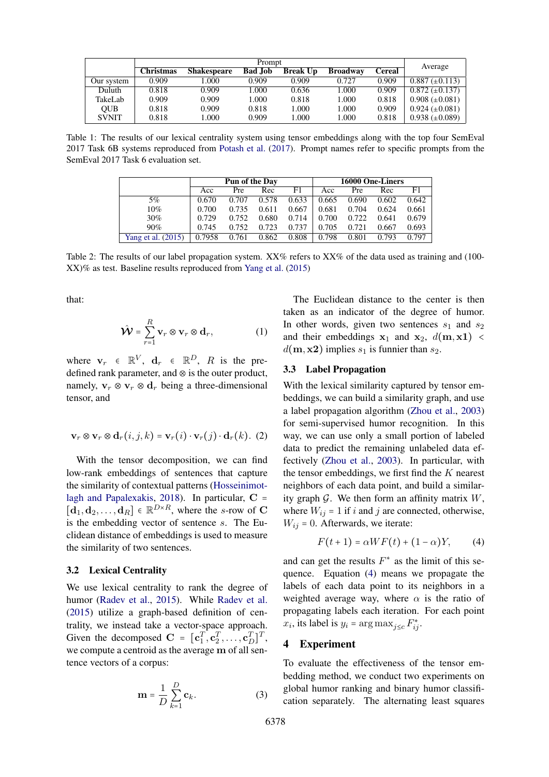<span id="page-2-1"></span>

|              | Prompt    |                    |                |                 |                 |        |                       |  |  |  |
|--------------|-----------|--------------------|----------------|-----------------|-----------------|--------|-----------------------|--|--|--|
|              | Christmas | <b>Shakespeare</b> | <b>Bad Job</b> | <b>Break Up</b> | <b>Broadway</b> | Cereal | Average               |  |  |  |
| Our system   | 0.909     | .000               | 0.909          | 0.909           | 0.727           | 0.909  | $0.887 \ (\pm 0.113)$ |  |  |  |
| Duluth       | 0.818     | 0.909              | 1.000          | 0.636           | 1.000           | 0.909  | $0.872 \ (\pm 0.137)$ |  |  |  |
| TakeLab      | 0.909     | 0.909              | 1.000          | 0.818           | 1.000           | 0.818  | $0.908 \ (\pm 0.081)$ |  |  |  |
| <b>OUB</b>   | 0.818     | 0.909              | 0.818          | 1.000           | 1.000           | 0.909  | $0.924 \ (\pm 0.081)$ |  |  |  |
| <b>SVNIT</b> | 0.818     | .000               | 0.909          | 1.000           | l.000           | 0.818  | $0.938 \ (\pm 0.089)$ |  |  |  |

<span id="page-2-2"></span>Table 1: The results of our lexical centrality system using tensor embeddings along with the top four SemEval 2017 Task 6B systems reproduced from [Potash et al.](#page-4-0) [\(2017\)](#page-4-0). Prompt names refer to specific prompts from the SemEval 2017 Task 6 evaluation set.

|                    | Pun of the Day |       |       |       | 16000 One-Liners |            |       |       |  |
|--------------------|----------------|-------|-------|-------|------------------|------------|-------|-------|--|
|                    | Acc            | Pre   | Rec   | F1    | Acc              | <b>Pre</b> | Rec   | F1    |  |
| 5%                 | 0.670          | 0.707 | 0.578 | 0.633 | 0.665            | 0.690      | 0.602 | 0.642 |  |
| 10%                | 0.700          | 0.735 | 0.611 | 0.667 | 0.681            | 0.704      | 0.624 | 0.661 |  |
| $30\%$             | 0.729          | 0.752 | 0.680 | 0.714 | 0.700            | 0.722      | 0.641 | 0.679 |  |
| 90%                | 0.745          | 0.752 | 0.723 | 0.737 | 0.705            | 0.721      | 0.667 | 0.693 |  |
| Yang et al. (2015) | 0.7958         | 0.761 | 0.862 | 0.808 | 0.798            | 0.801      | 0.793 | 0.797 |  |

Table 2: The results of our label propagation system. XX% refers to XX% of the data used as training and (100-XX)% as test. Baseline results reproduced from [Yang et al.](#page-5-0) [\(2015\)](#page-5-0)

that:

$$
\hat{\mathbf{\mathcal{W}}} = \sum_{r=1}^{R} \mathbf{v}_r \otimes \mathbf{v}_r \otimes \mathbf{d}_r, \tag{1}
$$

where  $\mathbf{v}_r \in \mathbb{R}^V$ ,  $\mathbf{d}_r \in \mathbb{R}^D$ , R is the predefined rank parameter, and ⊗ is the outer product, namely,  $v_r \otimes v_r \otimes d_r$  being a three-dimensional tensor, and

$$
\mathbf{v}_r \otimes \mathbf{v}_r \otimes \mathbf{d}_r(i,j,k) = \mathbf{v}_r(i) \cdot \mathbf{v}_r(j) \cdot \mathbf{d}_r(k). (2)
$$

With the tensor decomposition, we can find low-rank embeddings of sentences that capture the similarity of contextual patterns [\(Hosseinimot](#page-4-12)[lagh and Papalexakis,](#page-4-12) [2018\)](#page-4-12). In particular,  $C =$  $[\mathbf{d}_1, \mathbf{d}_2, \dots, \mathbf{d}_R] \in \mathbb{R}^{D \times R}$ , where the s-row of C is the embedding vector of sentence s. The Euclidean distance of embeddings is used to measure the similarity of two sentences.

# 3.2 Lexical Centrality

We use lexical centrality to rank the degree of humor [\(Radev et al.,](#page-4-3) [2015\)](#page-4-3). While [Radev et al.](#page-4-3) [\(2015\)](#page-4-3) utilize a graph-based definition of centrality, we instead take a vector-space approach. Given the decomposed  $\mathbf{C} = [\mathbf{c}_1^T, \mathbf{c}_2^T, \dots, \mathbf{c}_D^T]^T$ , we compute a centroid as the average m of all sentence vectors of a corpus:

$$
\mathbf{m} = \frac{1}{D} \sum_{k=1}^{D} \mathbf{c}_k.
$$
 (3)

The Euclidean distance to the center is then taken as an indicator of the degree of humor. In other words, given two sentences  $s_1$  and  $s_2$ and their embeddings  $x_1$  and  $x_2$ ,  $d(m, x1)$  <  $d(\mathbf{m}, \mathbf{x2})$  implies  $s_1$  is funnier than  $s_2$ .

#### 3.3 Label Propagation

With the lexical similarity captured by tensor embeddings, we can build a similarity graph, and use a label propagation algorithm [\(Zhou et al.,](#page-5-3) [2003\)](#page-5-3) for semi-supervised humor recognition. In this way, we can use only a small portion of labeled data to predict the remaining unlabeled data effectively [\(Zhou et al.,](#page-5-3) [2003\)](#page-5-3). In particular, with the tensor embeddings, we first find the  $K$  nearest neighbors of each data point, and build a similarity graph  $\mathcal G$ . We then form an affinity matrix  $W$ , where  $W_{ij} = 1$  if i and j are connected, otherwise,  $W_{ij} = 0$ . Afterwards, we iterate:

<span id="page-2-0"></span>
$$
F(t+1) = \alpha WF(t) + (1-\alpha)Y, \qquad (4)
$$

and can get the results  $F^*$  as the limit of this sequence. Equation [\(4\)](#page-2-0) means we propagate the labels of each data point to its neighbors in a weighted average way, where  $\alpha$  is the ratio of propagating labels each iteration. For each point  $x_i$ , its label is  $y_i = \arg \max_{j \leq c} F_{ij}^*$ .

#### 4 Experiment

To evaluate the effectiveness of the tensor embedding method, we conduct two experiments on global humor ranking and binary humor classification separately. The alternating least squares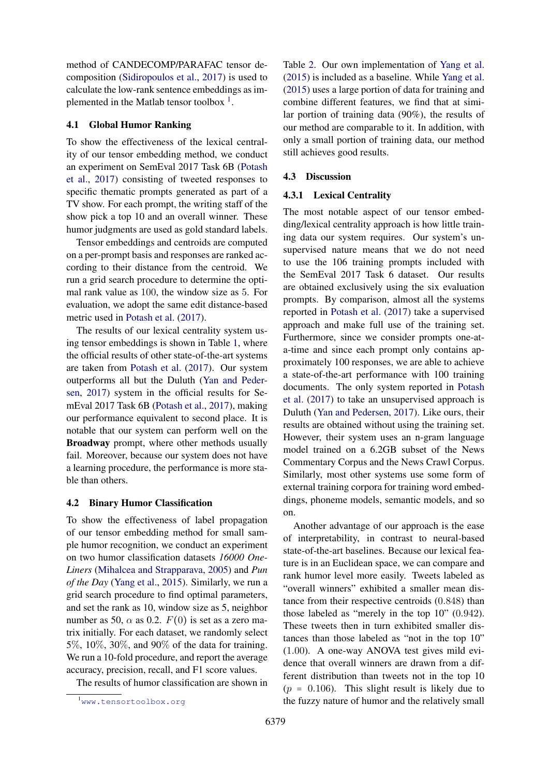method of CANDECOMP/PARAFAC tensor decomposition [\(Sidiropoulos et al.,](#page-5-4) [2017\)](#page-5-4) is used to calculate the low-rank sentence embeddings as implemented in the Matlab tensor toolbox  $<sup>1</sup>$  $<sup>1</sup>$  $<sup>1</sup>$ .</sup>

### 4.1 Global Humor Ranking

To show the effectiveness of the lexical centrality of our tensor embedding method, we conduct an experiment on SemEval 2017 Task 6B [\(Potash](#page-4-0) [et al.,](#page-4-0) [2017\)](#page-4-0) consisting of tweeted responses to specific thematic prompts generated as part of a TV show. For each prompt, the writing staff of the show pick a top 10 and an overall winner. These humor judgments are used as gold standard labels.

Tensor embeddings and centroids are computed on a per-prompt basis and responses are ranked according to their distance from the centroid. We run a grid search procedure to determine the optimal rank value as 100, the window size as 5. For evaluation, we adopt the same edit distance-based metric used in [Potash et al.](#page-4-0) [\(2017\)](#page-4-0).

The results of our lexical centrality system using tensor embeddings is shown in Table [1,](#page-2-1) where the official results of other state-of-the-art systems are taken from [Potash et al.](#page-4-0) [\(2017\)](#page-4-0). Our system outperforms all but the Duluth [\(Yan and Peder](#page-5-2)[sen,](#page-5-2) [2017\)](#page-5-2) system in the official results for SemEval 2017 Task 6B [\(Potash et al.,](#page-4-0) [2017\)](#page-4-0), making our performance equivalent to second place. It is notable that our system can perform well on the Broadway prompt, where other methods usually fail. Moreover, because our system does not have a learning procedure, the performance is more stable than others.

#### 4.2 Binary Humor Classification

To show the effectiveness of label propagation of our tensor embedding method for small sample humor recognition, we conduct an experiment on two humor classification datasets *16000 One-Liners* [\(Mihalcea and Strapparava,](#page-4-1) [2005\)](#page-4-1) and *Pun of the Day* [\(Yang et al.,](#page-5-0) [2015\)](#page-5-0). Similarly, we run a grid search procedure to find optimal parameters, and set the rank as 10, window size as 5, neighbor number as 50,  $\alpha$  as 0.2.  $F(0)$  is set as a zero matrix initially. For each dataset, we randomly select 5%, 10%, 30%, and 90% of the data for training. We run a 10-fold procedure, and report the average accuracy, precision, recall, and F1 score values.

The results of humor classification are shown in

Table [2.](#page-2-2) Our own implementation of [Yang et al.](#page-5-0) [\(2015\)](#page-5-0) is included as a baseline. While [Yang et al.](#page-5-0) [\(2015\)](#page-5-0) uses a large portion of data for training and combine different features, we find that at similar portion of training data (90%), the results of our method are comparable to it. In addition, with only a small portion of training data, our method still achieves good results.

# 4.3 Discussion

#### 4.3.1 Lexical Centrality

The most notable aspect of our tensor embedding/lexical centrality approach is how little training data our system requires. Our system's unsupervised nature means that we do not need to use the 106 training prompts included with the SemEval 2017 Task 6 dataset. Our results are obtained exclusively using the six evaluation prompts. By comparison, almost all the systems reported in [Potash et al.](#page-4-0) [\(2017\)](#page-4-0) take a supervised approach and make full use of the training set. Furthermore, since we consider prompts one-ata-time and since each prompt only contains approximately 100 responses, we are able to achieve a state-of-the-art performance with 100 training documents. The only system reported in [Potash](#page-4-0) [et al.](#page-4-0) [\(2017\)](#page-4-0) to take an unsupervised approach is Duluth [\(Yan and Pedersen,](#page-5-2) [2017\)](#page-5-2). Like ours, their results are obtained without using the training set. However, their system uses an n-gram language model trained on a 6.2GB subset of the News Commentary Corpus and the News Crawl Corpus. Similarly, most other systems use some form of external training corpora for training word embeddings, phoneme models, semantic models, and so on.

Another advantage of our approach is the ease of interpretability, in contrast to neural-based state-of-the-art baselines. Because our lexical feature is in an Euclidean space, we can compare and rank humor level more easily. Tweets labeled as "overall winners" exhibited a smaller mean distance from their respective centroids (0.848) than those labeled as "merely in the top 10" (0.942). These tweets then in turn exhibited smaller distances than those labeled as "not in the top 10" (1.00). A one-way ANOVA test gives mild evidence that overall winners are drawn from a different distribution than tweets not in the top 10  $(p = 0.106)$ . This slight result is likely due to the fuzzy nature of humor and the relatively small

<span id="page-3-0"></span><sup>1</sup><www.tensortoolbox.org>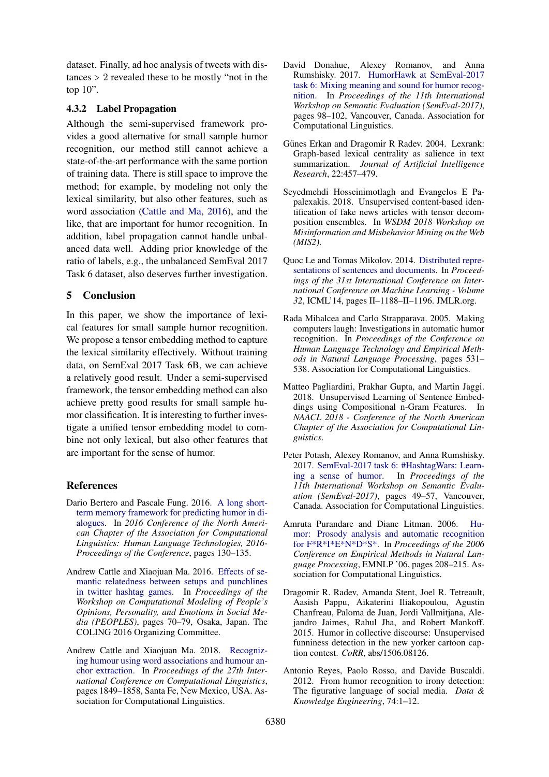dataset. Finally, ad hoc analysis of tweets with distances > 2 revealed these to be mostly "not in the top  $10$ ".

# 4.3.2 Label Propagation

Although the semi-supervised framework provides a good alternative for small sample humor recognition, our method still cannot achieve a state-of-the-art performance with the same portion of training data. There is still space to improve the method; for example, by modeling not only the lexical similarity, but also other features, such as word association [\(Cattle and Ma,](#page-4-2) [2016\)](#page-4-2), and the like, that are important for humor recognition. In addition, label propagation cannot handle unbalanced data well. Adding prior knowledge of the ratio of labels, e.g., the unbalanced SemEval 2017 Task 6 dataset, also deserves further investigation.

# 5 Conclusion

In this paper, we show the importance of lexical features for small sample humor recognition. We propose a tensor embedding method to capture the lexical similarity effectively. Without training data, on SemEval 2017 Task 6B, we can achieve a relatively good result. Under a semi-supervised framework, the tensor embedding method can also achieve pretty good results for small sample humor classification. It is interesting to further investigate a unified tensor embedding model to combine not only lexical, but also other features that are important for the sense of humor.

# References

- <span id="page-4-4"></span>Dario Bertero and Pascale Fung. 2016. [A long short](https://pdfs.semanticscholar.org/015c/26ca824f9d20b6523f44e6b9dc3b3dd65b2d.pdf)[term memory framework for predicting humor in di](https://pdfs.semanticscholar.org/015c/26ca824f9d20b6523f44e6b9dc3b3dd65b2d.pdf)[alogues.](https://pdfs.semanticscholar.org/015c/26ca824f9d20b6523f44e6b9dc3b3dd65b2d.pdf) In *2016 Conference of the North American Chapter of the Association for Computational Linguistics: Human Language Technologies, 2016- Proceedings of the Conference*, pages 130–135.
- <span id="page-4-2"></span>Andrew Cattle and Xiaojuan Ma. 2016. [Effects of se](https://www.aclweb.org/anthology/W16-4308)[mantic relatedness between setups and punchlines](https://www.aclweb.org/anthology/W16-4308) [in twitter hashtag games.](https://www.aclweb.org/anthology/W16-4308) In *Proceedings of the Workshop on Computational Modeling of People's Opinions, Personality, and Emotions in Social Media (PEOPLES)*, pages 70–79, Osaka, Japan. The COLING 2016 Organizing Committee.
- <span id="page-4-7"></span>Andrew Cattle and Xiaojuan Ma. 2018. [Recogniz](https://www.aclweb.org/anthology/C18-1157)[ing humour using word associations and humour an](https://www.aclweb.org/anthology/C18-1157)[chor extraction.](https://www.aclweb.org/anthology/C18-1157) In *Proceedings of the 27th International Conference on Computational Linguistics*, pages 1849–1858, Santa Fe, New Mexico, USA. Association for Computational Linguistics.
- <span id="page-4-5"></span>David Donahue, Alexey Romanov, and Anna Rumshisky. 2017. [HumorHawk at SemEval-2017](https://doi.org/10.18653/v1/S17-2010) [task 6: Mixing meaning and sound for humor recog](https://doi.org/10.18653/v1/S17-2010)[nition.](https://doi.org/10.18653/v1/S17-2010) In *Proceedings of the 11th International Workshop on Semantic Evaluation (SemEval-2017)*, pages 98–102, Vancouver, Canada. Association for Computational Linguistics.
- <span id="page-4-8"></span>Günes Erkan and Dragomir R Radev. 2004. Lexrank: Graph-based lexical centrality as salience in text summarization. *Journal of Artificial Intelligence Research*, 22:457–479.
- <span id="page-4-12"></span>Seyedmehdi Hosseinimotlagh and Evangelos E Papalexakis. 2018. Unsupervised content-based identification of fake news articles with tensor decomposition ensembles. In *WSDM 2018 Workshop on Misinformation and Misbehavior Mining on the Web (MIS2)*.
- <span id="page-4-10"></span>Quoc Le and Tomas Mikolov. 2014. [Distributed repre](http://dl.acm.org/citation.cfm?id=3044805.3045025)[sentations of sentences and documents.](http://dl.acm.org/citation.cfm?id=3044805.3045025) In *Proceedings of the 31st International Conference on International Conference on Machine Learning - Volume 32*, ICML'14, pages II–1188–II–1196. JMLR.org.
- <span id="page-4-1"></span>Rada Mihalcea and Carlo Strapparava. 2005. Making computers laugh: Investigations in automatic humor recognition. In *Proceedings of the Conference on Human Language Technology and Empirical Methods in Natural Language Processing*, pages 531– 538. Association for Computational Linguistics.
- <span id="page-4-11"></span>Matteo Pagliardini, Prakhar Gupta, and Martin Jaggi. 2018. Unsupervised Learning of Sentence Embeddings using Compositional n-Gram Features. In *NAACL 2018 - Conference of the North American Chapter of the Association for Computational Linguistics*.
- <span id="page-4-0"></span>Peter Potash, Alexey Romanov, and Anna Rumshisky. 2017. [SemEval-2017 task 6: #HashtagWars: Learn](https://doi.org/10.18653/v1/S17-2004)[ing a sense of humor.](https://doi.org/10.18653/v1/S17-2004) In *Proceedings of the 11th International Workshop on Semantic Evaluation (SemEval-2017)*, pages 49–57, Vancouver, Canada. Association for Computational Linguistics.
- <span id="page-4-9"></span>Amruta Purandare and Diane Litman. 2006. [Hu](http://dl.acm.org/citation.cfm?id=1610075.1610107)[mor: Prosody analysis and automatic recognition](http://dl.acm.org/citation.cfm?id=1610075.1610107) [for F\\*R\\*I\\*E\\*N\\*D\\*S\\*.](http://dl.acm.org/citation.cfm?id=1610075.1610107) In *Proceedings of the 2006 Conference on Empirical Methods in Natural Language Processing*, EMNLP '06, pages 208–215. Association for Computational Linguistics.
- <span id="page-4-3"></span>Dragomir R. Radev, Amanda Stent, Joel R. Tetreault, Aasish Pappu, Aikaterini Iliakopoulou, Agustin Chanfreau, Paloma de Juan, Jordi Vallmitjana, Alejandro Jaimes, Rahul Jha, and Robert Mankoff. 2015. Humor in collective discourse: Unsupervised funniness detection in the new yorker cartoon caption contest. *CoRR*, abs/1506.08126.
- <span id="page-4-6"></span>Antonio Reyes, Paolo Rosso, and Davide Buscaldi. 2012. From humor recognition to irony detection: The figurative language of social media. *Data & Knowledge Engineering*, 74:1–12.